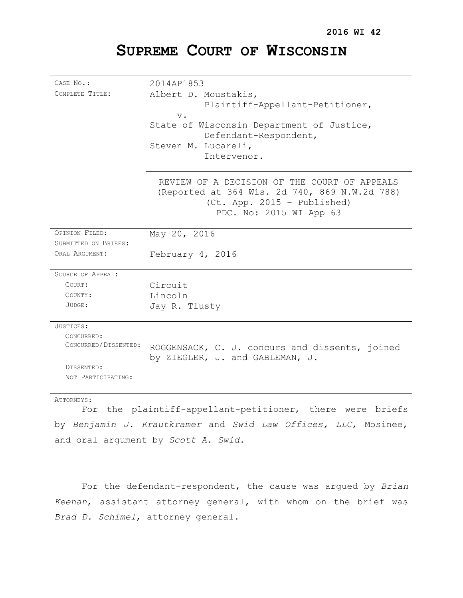# **SUPREME COURT OF WISCONSIN**

| CASE No.:                | 2014AP1853                                     |  |  |  |  |  |  |
|--------------------------|------------------------------------------------|--|--|--|--|--|--|
| COMPLETE TITLE:          | Albert D. Moustakis,                           |  |  |  |  |  |  |
|                          | Plaintiff-Appellant-Petitioner,                |  |  |  |  |  |  |
|                          | $V$ .                                          |  |  |  |  |  |  |
|                          | State of Wisconsin Department of Justice,      |  |  |  |  |  |  |
|                          | Defendant-Respondent,                          |  |  |  |  |  |  |
|                          | Steven M. Lucareli,                            |  |  |  |  |  |  |
|                          | Intervenor.                                    |  |  |  |  |  |  |
|                          |                                                |  |  |  |  |  |  |
|                          | REVIEW OF A DECISION OF THE COURT OF APPEALS   |  |  |  |  |  |  |
|                          | (Reported at 364 Wis. 2d 740, 869 N.W.2d 788)  |  |  |  |  |  |  |
|                          | (Ct. App. 2015 - Published)                    |  |  |  |  |  |  |
| PDC. No: 2015 WI App 63  |                                                |  |  |  |  |  |  |
|                          |                                                |  |  |  |  |  |  |
| OPINION FILED:           | May 20, 2016                                   |  |  |  |  |  |  |
| SUBMITTED ON BRIEFS:     |                                                |  |  |  |  |  |  |
| ORAL ARGUMENT:           | February 4, 2016                               |  |  |  |  |  |  |
|                          |                                                |  |  |  |  |  |  |
| <b>SOURCE OF APPEAL:</b> |                                                |  |  |  |  |  |  |
| COURT:                   | Circuit                                        |  |  |  |  |  |  |
| COUNTY:                  | Lincoln                                        |  |  |  |  |  |  |
| JUDGE:                   | Jay R. Tlusty                                  |  |  |  |  |  |  |
| JUSTICES:                |                                                |  |  |  |  |  |  |
| CONCURRED:               |                                                |  |  |  |  |  |  |
| CONCURRED/DISSENTED:     | ROGGENSACK, C. J. concurs and dissents, joined |  |  |  |  |  |  |
|                          | by ZIEGLER, J. and GABLEMAN, J.                |  |  |  |  |  |  |
| DISSENTED:               |                                                |  |  |  |  |  |  |
| NOT PARTICIPATING:       |                                                |  |  |  |  |  |  |
|                          |                                                |  |  |  |  |  |  |

## ATTORNEYS:

For the plaintiff-appellant-petitioner, there were briefs by *Benjamin J. Krautkramer* and *Swid Law Offices, LLC*, Mosinee, and oral argument by *Scott A. Swid*.

For the defendant-respondent, the cause was argued by *Brian Keenan*, assistant attorney general, with whom on the brief was *Brad D. Schimel*, attorney general.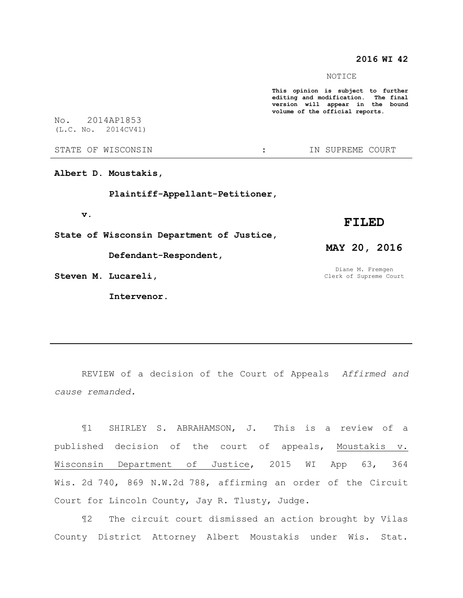# **2016 WI 42**

NOTICE

**This opinion is subject to further editing and modification. The final version will appear in the bound volume of the official reports.** 

No. 2014AP1853 (L.C. No. 2014CV41)

**Albert D. Moustakis,**

 **Plaintiff-Appellant-Petitioner,**

 **v.**

**State of Wisconsin Department of Justice,**

 **Defendant-Respondent,**

**Steven M. Lucareli,**

 **Intervenor.**

**FILED**

**MAY 20, 2016**

Diane M. Fremgen Clerk of Supreme Court

REVIEW of a decision of the Court of Appeals *Affirmed and cause remanded.*

¶1 SHIRLEY S. ABRAHAMSON, J. This is a review of a published decision of the court of appeals, Moustakis v. Wisconsin Department of Justice, 2015 WI App 63, 364 Wis. 2d 740, 869 N.W.2d 788, affirming an order of the Circuit Court for Lincoln County, Jay R. Tlusty, Judge.

¶2 The circuit court dismissed an action brought by Vilas County District Attorney Albert Moustakis under Wis. Stat.

STATE OF WISCONSIN THE RESERVE STATE OF WISCONSIN THE SERVER SOURT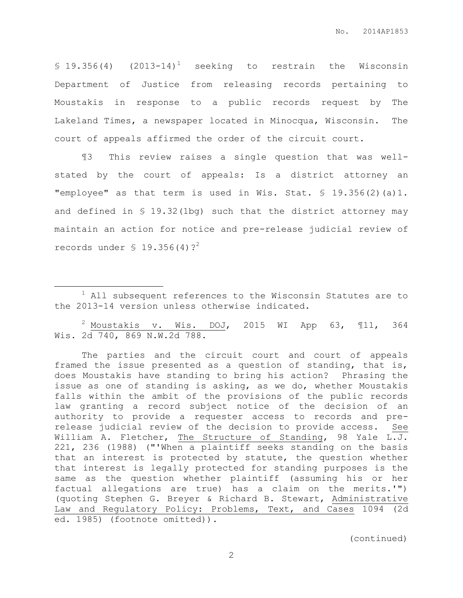$$19.356(4)$   $(2013-14)^1$  seeking to restrain the Wisconsin Department of Justice from releasing records pertaining to Moustakis in response to a public records request by The Lakeland Times, a newspaper located in Minocqua, Wisconsin. The court of appeals affirmed the order of the circuit court.

¶3 This review raises a single question that was wellstated by the court of appeals: Is a district attorney an "employee" as that term is used in Wis. Stat. § 19.356(2)(a)1. and defined in § 19.32(1bg) such that the district attorney may maintain an action for notice and pre-release judicial review of records under  $$19.356(4)?<sup>2</sup>$ 

 $\overline{a}$ 

 $^2$  Moustakis v. Wis. DOJ, 2015 WI App 63, ¶11, 364 Wis. 2d 740, 869 N.W.2d 788.

The parties and the circuit court and court of appeals framed the issue presented as a question of standing, that is, does Moustakis have standing to bring his action? Phrasing the issue as one of standing is asking, as we do, whether Moustakis falls within the ambit of the provisions of the public records law granting a record subject notice of the decision of an authority to provide a requester access to records and prerelease judicial review of the decision to provide access. See William A. Fletcher, The Structure of Standing, 98 Yale L.J. 221, 236 (1988) ("'When a plaintiff seeks standing on the basis that an interest is protected by statute, the question whether that interest is legally protected for standing purposes is the same as the question whether plaintiff (assuming his or her factual allegations are true) has a claim on the merits.'") (quoting Stephen G. Breyer & Richard B. Stewart, Administrative Law and Regulatory Policy: Problems, Text, and Cases 1094 (2d ed. 1985) (footnote omitted)).

(continued)

<sup>1</sup> All subsequent references to the Wisconsin Statutes are to the 2013-14 version unless otherwise indicated.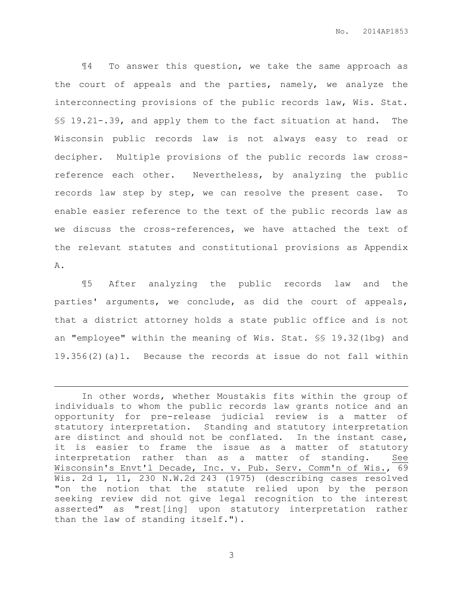¶4 To answer this question, we take the same approach as the court of appeals and the parties, namely, we analyze the interconnecting provisions of the public records law, Wis. Stat. §§ 19.21-.39, and apply them to the fact situation at hand. The Wisconsin public records law is not always easy to read or decipher. Multiple provisions of the public records law crossreference each other. Nevertheless, by analyzing the public records law step by step, we can resolve the present case. To enable easier reference to the text of the public records law as we discuss the cross-references, we have attached the text of the relevant statutes and constitutional provisions as Appendix A.

¶5 After analyzing the public records law and the parties' arguments, we conclude, as did the court of appeals, that a district attorney holds a state public office and is not an "employee" within the meaning of Wis. Stat. §§ 19.32(1bg) and 19.356(2)(a)1. Because the records at issue do not fall within

 $\overline{a}$ 

In other words, whether Moustakis fits within the group of individuals to whom the public records law grants notice and an opportunity for pre-release judicial review is a matter of statutory interpretation. Standing and statutory interpretation are distinct and should not be conflated. In the instant case, it is easier to frame the issue as a matter of statutory interpretation rather than as a matter of standing. See Wisconsin's Envt'l Decade, Inc. v. Pub. Serv. Comm'n of Wis., 69 Wis. 2d 1, 11, 230 N.W.2d 243 (1975) (describing cases resolved "on the notion that the statute relied upon by the person seeking review did not give legal recognition to the interest asserted" as "rest[ing] upon statutory interpretation rather than the law of standing itself.").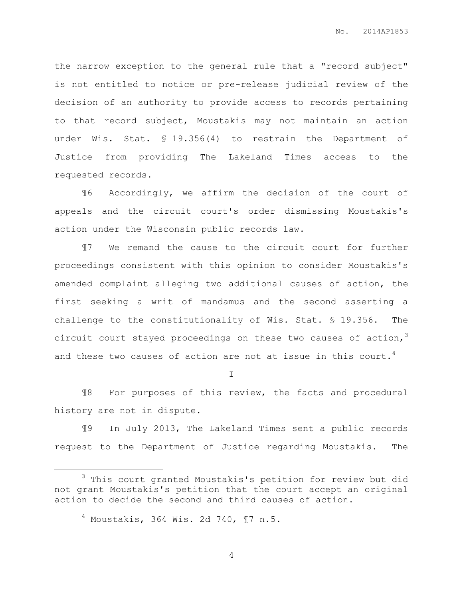the narrow exception to the general rule that a "record subject" is not entitled to notice or pre-release judicial review of the decision of an authority to provide access to records pertaining to that record subject, Moustakis may not maintain an action under Wis. Stat. § 19.356(4) to restrain the Department of Justice from providing The Lakeland Times access to the requested records.

¶6 Accordingly, we affirm the decision of the court of appeals and the circuit court's order dismissing Moustakis's action under the Wisconsin public records law.

¶7 We remand the cause to the circuit court for further proceedings consistent with this opinion to consider Moustakis's amended complaint alleging two additional causes of action, the first seeking a writ of mandamus and the second asserting a challenge to the constitutionality of Wis. Stat. § 19.356. The circuit court stayed proceedings on these two causes of action,  $3$ and these two causes of action are not at issue in this court.<sup>4</sup>

I

¶8 For purposes of this review, the facts and procedural history are not in dispute.

¶9 In July 2013, The Lakeland Times sent a public records request to the Department of Justice regarding Moustakis. The

 $\overline{a}$ 

<sup>3</sup> This court granted Moustakis's petition for review but did not grant Moustakis's petition that the court accept an original action to decide the second and third causes of action.

 $4$  Moustakis, 364 Wis. 2d 740,  $\P$ 7 n.5.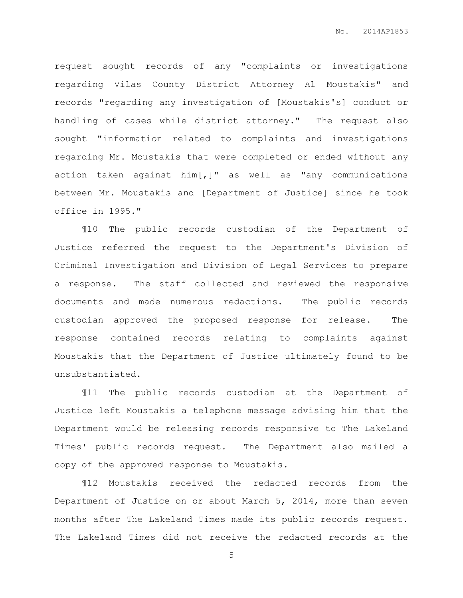request sought records of any "complaints or investigations regarding Vilas County District Attorney Al Moustakis" and records "regarding any investigation of [Moustakis's] conduct or handling of cases while district attorney." The request also sought "information related to complaints and investigations regarding Mr. Moustakis that were completed or ended without any action taken against him[,]" as well as "any communications between Mr. Moustakis and [Department of Justice] since he took office in 1995."

¶10 The public records custodian of the Department of Justice referred the request to the Department's Division of Criminal Investigation and Division of Legal Services to prepare a response. The staff collected and reviewed the responsive documents and made numerous redactions. The public records custodian approved the proposed response for release. The response contained records relating to complaints against Moustakis that the Department of Justice ultimately found to be unsubstantiated.

¶11 The public records custodian at the Department of Justice left Moustakis a telephone message advising him that the Department would be releasing records responsive to The Lakeland Times' public records request. The Department also mailed a copy of the approved response to Moustakis.

¶12 Moustakis received the redacted records from the Department of Justice on or about March 5, 2014, more than seven months after The Lakeland Times made its public records request. The Lakeland Times did not receive the redacted records at the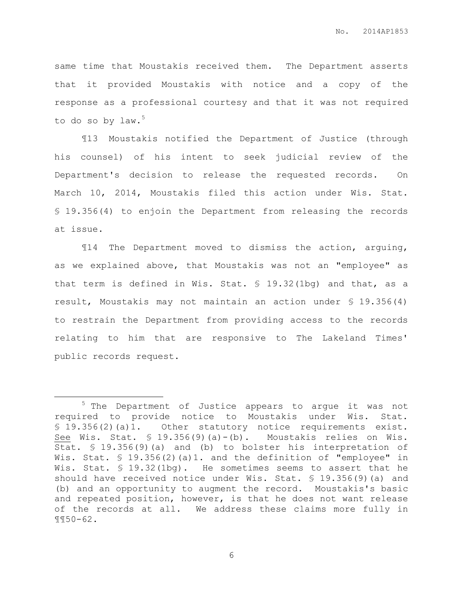same time that Moustakis received them. The Department asserts that it provided Moustakis with notice and a copy of the response as a professional courtesy and that it was not required to do so by  $law.^5$ 

¶13 Moustakis notified the Department of Justice (through his counsel) of his intent to seek judicial review of the Department's decision to release the requested records. On March 10, 2014, Moustakis filed this action under Wis. Stat. § 19.356(4) to enjoin the Department from releasing the records at issue.

¶14 The Department moved to dismiss the action, arguing, as we explained above, that Moustakis was not an "employee" as that term is defined in Wis. Stat. § 19.32(1bg) and that, as a result, Moustakis may not maintain an action under § 19.356(4) to restrain the Department from providing access to the records relating to him that are responsive to The Lakeland Times' public records request.

 $\overline{a}$ 

<sup>5</sup> The Department of Justice appears to argue it was not required to provide notice to Moustakis under Wis. Stat. § 19.356(2)(a)1. Other statutory notice requirements exist. See Wis. Stat. § 19.356(9)(a)-(b). Moustakis relies on Wis. Stat. § 19.356(9)(a) and (b) to bolster his interpretation of Wis. Stat. § 19.356(2)(a)1. and the definition of "employee" in Wis. Stat. § 19.32(1bg). He sometimes seems to assert that he should have received notice under Wis. Stat. § 19.356(9)(a) and (b) and an opportunity to augment the record. Moustakis's basic and repeated position, however, is that he does not want release of the records at all. We address these claims more fully in ¶¶50-62.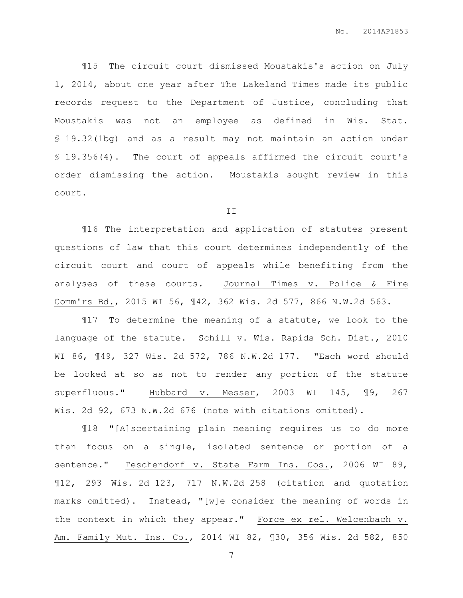¶15 The circuit court dismissed Moustakis's action on July 1, 2014, about one year after The Lakeland Times made its public records request to the Department of Justice, concluding that Moustakis was not an employee as defined in Wis. Stat. § 19.32(1bg) and as a result may not maintain an action under § 19.356(4). The court of appeals affirmed the circuit court's order dismissing the action. Moustakis sought review in this court.

#### II

¶16 The interpretation and application of statutes present questions of law that this court determines independently of the circuit court and court of appeals while benefiting from the analyses of these courts. Journal Times v. Police & Fire Comm'rs Bd., 2015 WI 56, ¶42, 362 Wis. 2d 577, 866 N.W.2d 563.

¶17 To determine the meaning of a statute, we look to the language of the statute. Schill v. Wis. Rapids Sch. Dist., 2010 WI 86, ¶49, 327 Wis. 2d 572, 786 N.W.2d 177. "Each word should be looked at so as not to render any portion of the statute superfluous." Hubbard v. Messer, 2003 WI 145, ¶9, 267 Wis. 2d 92, 673 N.W.2d 676 (note with citations omitted).

¶18 "[A]scertaining plain meaning requires us to do more than focus on a single, isolated sentence or portion of a sentence." Teschendorf v. State Farm Ins. Cos., 2006 WI 89, ¶12, 293 Wis. 2d 123, 717 N.W.2d 258 (citation and quotation marks omitted). Instead, "[w]e consider the meaning of words in the context in which they appear." Force ex rel. Welcenbach v. Am. Family Mut. Ins. Co., 2014 WI 82, ¶30, 356 Wis. 2d 582, 850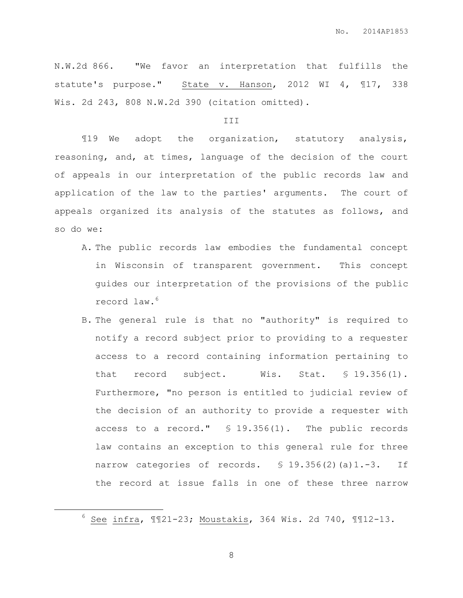N.W.2d 866. "We favor an interpretation that fulfills the statute's purpose." State v. Hanson, 2012 WI 4, ¶17, 338 Wis. 2d 243, 808 N.W.2d 390 (citation omitted).

#### III

¶19 We adopt the organization, statutory analysis, reasoning, and, at times, language of the decision of the court of appeals in our interpretation of the public records law and application of the law to the parties' arguments. The court of appeals organized its analysis of the statutes as follows, and so do we:

- A. The public records law embodies the fundamental concept in Wisconsin of transparent government. This concept guides our interpretation of the provisions of the public record law.<sup>6</sup>
- B. The general rule is that no "authority" is required to notify a record subject prior to providing to a requester access to a record containing information pertaining to that record subject. Wis. Stat. § 19.356(1). Furthermore, "no person is entitled to judicial review of the decision of an authority to provide a requester with access to a record." § 19.356(1). The public records law contains an exception to this general rule for three narrow categories of records. § 19.356(2)(a)1.-3. If the record at issue falls in one of these three narrow

# $6$  See infra,  $\text{\texttt{M21-23;}}$  Moustakis, 364 Wis. 2d 740,  $\text{\texttt{M12-13.}}$

 $\overline{a}$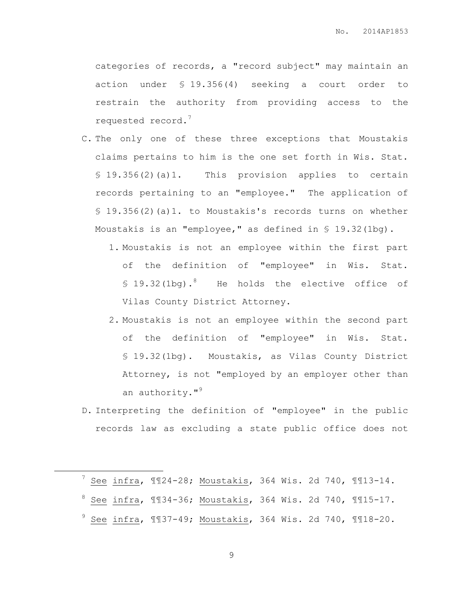categories of records, a "record subject" may maintain an action under § 19.356(4) seeking a court order to restrain the authority from providing access to the requested record. $7$ 

- C. The only one of these three exceptions that Moustakis claims pertains to him is the one set forth in Wis. Stat. § 19.356(2)(a)1. This provision applies to certain records pertaining to an "employee." The application of § 19.356(2)(a)1. to Moustakis's records turns on whether Moustakis is an "employee," as defined in § 19.32(1bg).
	- 1. Moustakis is not an employee within the first part of the definition of "employee" in Wis. Stat. § 19.32(1bq). $8$  He holds the elective office of Vilas County District Attorney.
	- 2. Moustakis is not an employee within the second part of the definition of "employee" in Wis. Stat. § 19.32(1bg). Moustakis, as Vilas County District Attorney, is not "employed by an employer other than an authority."<sup>9</sup>
- D. Interpreting the definition of "employee" in the public records law as excluding a state public office does not

|  |  | $^{\prime}$ See infra, ¶¶24-28; Moustakis, 364 Wis. 2d 740, ¶¶13-14.                    |  |  |  |
|--|--|-----------------------------------------------------------------------------------------|--|--|--|
|  |  | <sup>8</sup> See infra, $\text{M34-36}$ ; Moustakis, 364 Wis. 2d 740, $\text{M15-17}$ . |  |  |  |
|  |  | $3$ See infra, $1137-49$ ; Moustakis, 364 Wis. 2d 740, $118-20$ .                       |  |  |  |

 $\overline{a}$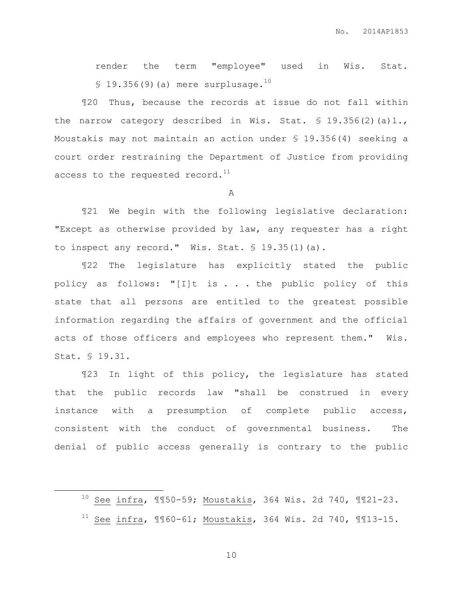render the term "employee" used in Wis. Stat.  $$19.356(9)(a)$  mere surplusage.<sup>10</sup>

¶20 Thus, because the records at issue do not fall within the narrow category described in Wis. Stat. § 19.356(2)(a)1., Moustakis may not maintain an action under § 19.356(4) seeking a court order restraining the Department of Justice from providing access to the requested record. $^{11}$ 

A

¶21 We begin with the following legislative declaration: "Except as otherwise provided by law, any requester has a right to inspect any record." Wis. Stat. § 19.35(1)(a).

¶22 The legislature has explicitly stated the public policy as follows: "[I]t is . . . the public policy of this state that all persons are entitled to the greatest possible information regarding the affairs of government and the official acts of those officers and employees who represent them." Wis. Stat. § 19.31.

¶23 In light of this policy, the legislature has stated that the public records law "shall be construed in every instance with a presumption of complete public access, consistent with the conduct of governmental business. The denial of public access generally is contrary to the public

 $10$  See infra,  $\P$ 150-59; Moustakis, 364 Wis. 2d 740,  $\P$ 121-23.

 $\overline{a}$ 

 $11$  See infra,  $\P$  160-61; Moustakis, 364 Wis. 2d 740,  $\P$  113-15.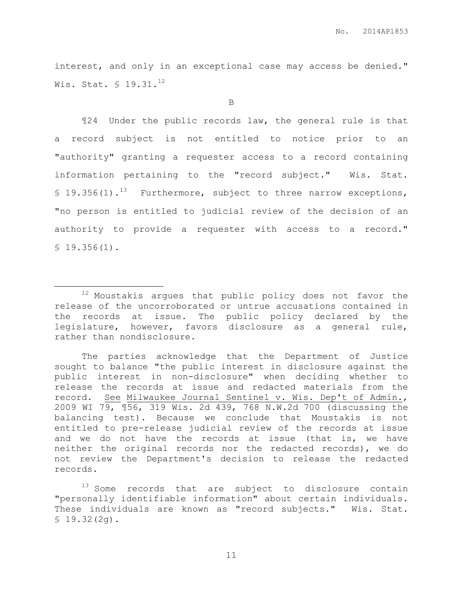interest, and only in an exceptional case may access be denied." Wis. Stat. § 19.31.<sup>12</sup>

B

¶24 Under the public records law, the general rule is that a record subject is not entitled to notice prior to an "authority" granting a requester access to a record containing information pertaining to the "record subject." Wis. Stat. § 19.356(1).<sup>13</sup> Furthermore, subject to three narrow exceptions, "no person is entitled to judicial review of the decision of an authority to provide a requester with access to a record."  $$19.356(1)$ .

 $\overline{a}$ 

<sup>12</sup> Moustakis argues that public policy does not favor the release of the uncorroborated or untrue accusations contained in the records at issue. The public policy declared by the legislature, however, favors disclosure as a general rule, rather than nondisclosure.

The parties acknowledge that the Department of Justice sought to balance "the public interest in disclosure against the public interest in non-disclosure" when deciding whether to release the records at issue and redacted materials from the record. See Milwaukee Journal Sentinel v. Wis. Dep't of Admin., 2009 WI 79, ¶56, 319 Wis. 2d 439, 768 N.W.2d 700 (discussing the balancing test). Because we conclude that Moustakis is not entitled to pre-release judicial review of the records at issue and we do not have the records at issue (that is, we have neither the original records nor the redacted records), we do not review the Department's decision to release the redacted records.

<sup>&</sup>lt;sup>13</sup> Some records that are subject to disclosure contain "personally identifiable information" about certain individuals. These individuals are known as "record subjects." Wis. Stat. § 19.32(2g).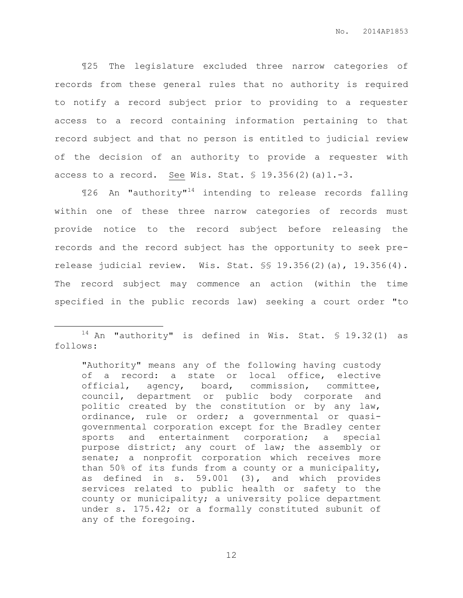¶25 The legislature excluded three narrow categories of records from these general rules that no authority is required to notify a record subject prior to providing to a requester access to a record containing information pertaining to that record subject and that no person is entitled to judicial review of the decision of an authority to provide a requester with access to a record. See Wis. Stat.  $$ 19.356(2) (a) 1.-3.$ 

¶26 An "authority"<sup>14</sup> intending to release records falling within one of these three narrow categories of records must provide notice to the record subject before releasing the records and the record subject has the opportunity to seek prerelease judicial review. Wis. Stat. §§ 19.356(2)(a), 19.356(4). The record subject may commence an action (within the time specified in the public records law) seeking a court order "to

 $\overline{a}$ 

 $14$  An "authority" is defined in Wis. Stat. § 19.32(1) as follows:

<sup>&</sup>quot;Authority" means any of the following having custody of a record: a state or local office, elective official, agency, board, commission, committee, council, department or public body corporate and politic created by the constitution or by any law, ordinance, rule or order; a governmental or quasigovernmental corporation except for the Bradley center sports and entertainment corporation; a special purpose district; any court of law; the assembly or senate; a nonprofit corporation which receives more than 50% of its funds from a county or a municipality, as defined in s. 59.001 (3), and which provides services related to public health or safety to the county or municipality; a university police department under s. 175.42; or a formally constituted subunit of any of the foregoing.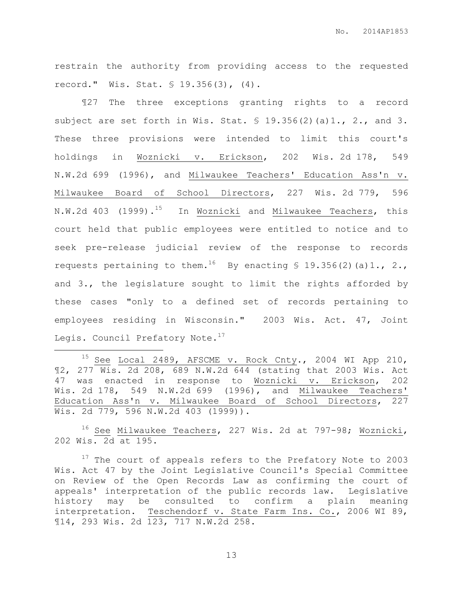restrain the authority from providing access to the requested record." Wis. Stat. § 19.356(3), (4).

¶27 The three exceptions granting rights to a record subject are set forth in Wis. Stat.  $\frac{1}{5}$  19.356(2)(a)1., 2., and 3. These three provisions were intended to limit this court's holdings in Woznicki v. Erickson, 202 Wis. 2d 178, 549 N.W.2d 699 (1996), and Milwaukee Teachers' Education Ass'n v. Milwaukee Board of School Directors, 227 Wis. 2d 779, 596 N.W.2d 403 (1999).<sup>15</sup> In Woznicki and Milwaukee Teachers, this court held that public employees were entitled to notice and to seek pre-release judicial review of the response to records requests pertaining to them.<sup>16</sup> By enacting § 19.356(2)(a)1., 2., and 3., the legislature sought to limit the rights afforded by these cases "only to a defined set of records pertaining to employees residing in Wisconsin." 2003 Wis. Act. 47, Joint Legis. Council Prefatory Note.<sup>17</sup>

 $15$  See Local 2489, AFSCME v. Rock Cnty., 2004 WI App 210, ¶2, 277 Wis. 2d 208, 689 N.W.2d 644 (stating that 2003 Wis. Act 47 was enacted in response to Woznicki v. Erickson, 202 Wis. 2d 178, 549 N.W.2d 699 (1996), and Milwaukee Teachers' Education Ass'n v. Milwaukee Board of School Directors, 227 Wis. 2d 779, 596 N.W.2d 403 (1999)).

 $\overline{a}$ 

<sup>16</sup> See Milwaukee Teachers, 227 Wis. 2d at 797-98; Woznicki, 202 Wis. 2d at 195.

 $17$  The court of appeals refers to the Prefatory Note to 2003 Wis. Act 47 by the Joint Legislative Council's Special Committee on Review of the Open Records Law as confirming the court of appeals' interpretation of the public records law. Legislative history may be consulted to confirm a plain meaning interpretation. Teschendorf v. State Farm Ins. Co., 2006 WI 89, ¶14, 293 Wis. 2d 123, 717 N.W.2d 258.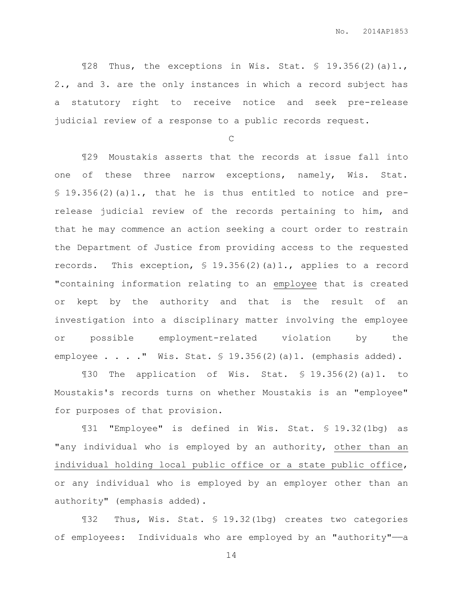¶28 Thus, the exceptions in Wis. Stat. § 19.356(2)(a)1., 2., and 3. are the only instances in which a record subject has a statutory right to receive notice and seek pre-release judicial review of a response to a public records request.

 $\cap$ 

¶29 Moustakis asserts that the records at issue fall into one of these three narrow exceptions, namely, Wis. Stat. § 19.356(2)(a)1., that he is thus entitled to notice and prerelease judicial review of the records pertaining to him, and that he may commence an action seeking a court order to restrain the Department of Justice from providing access to the requested records. This exception, § 19.356(2)(a)1., applies to a record "containing information relating to an employee that is created or kept by the authority and that is the result of an investigation into a disciplinary matter involving the employee or possible employment-related violation by the employee . . . . " Wis. Stat.  $\frac{1}{2}$  19.356(2)(a)1. (emphasis added).

¶30 The application of Wis. Stat. § 19.356(2)(a)1. to Moustakis's records turns on whether Moustakis is an "employee" for purposes of that provision.

¶31 "Employee" is defined in Wis. Stat. § 19.32(1bg) as "any individual who is employed by an authority, other than an individual holding local public office or a state public office, or any individual who is employed by an employer other than an authority" (emphasis added).

¶32 Thus, Wis. Stat. § 19.32(1bg) creates two categories of employees: Individuals who are employed by an "authority"-a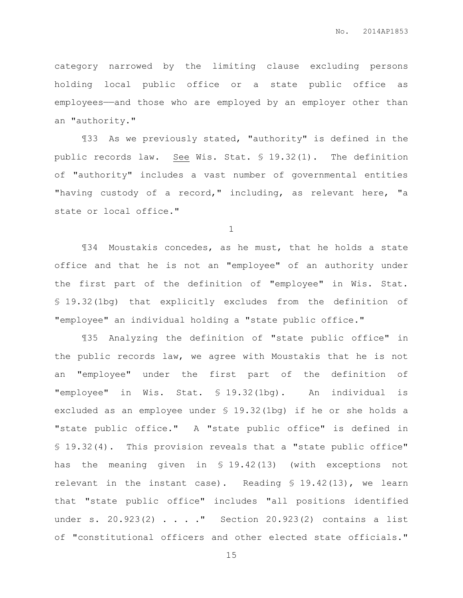category narrowed by the limiting clause excluding persons holding local public office or a state public office as employees——and those who are employed by an employer other than an "authority."

¶33 As we previously stated, "authority" is defined in the public records law. See Wis. Stat. § 19.32(1). The definition of "authority" includes a vast number of governmental entities "having custody of a record," including, as relevant here, "a state or local office."

1

¶34 Moustakis concedes, as he must, that he holds a state office and that he is not an "employee" of an authority under the first part of the definition of "employee" in Wis. Stat. § 19.32(1bg) that explicitly excludes from the definition of "employee" an individual holding a "state public office."

¶35 Analyzing the definition of "state public office" in the public records law, we agree with Moustakis that he is not an "employee" under the first part of the definition of "employee" in Wis. Stat. § 19.32(1bg). An individual is excluded as an employee under § 19.32(1bg) if he or she holds a "state public office." A "state public office" is defined in § 19.32(4). This provision reveals that a "state public office" has the meaning given in § 19.42(13) (with exceptions not relevant in the instant case). Reading § 19.42(13), we learn that "state public office" includes "all positions identified under s. 20.923(2) . . . . " Section 20.923(2) contains a list of "constitutional officers and other elected state officials."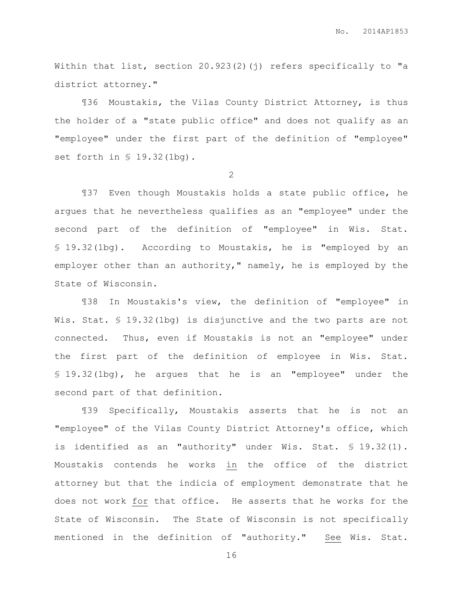Within that list, section 20.923(2)(j) refers specifically to "a district attorney."

¶36 Moustakis, the Vilas County District Attorney, is thus the holder of a "state public office" and does not qualify as an "employee" under the first part of the definition of "employee" set forth in § 19.32(1bg).

2

¶37 Even though Moustakis holds a state public office, he argues that he nevertheless qualifies as an "employee" under the second part of the definition of "employee" in Wis. Stat. § 19.32(1bg). According to Moustakis, he is "employed by an employer other than an authority," namely, he is employed by the State of Wisconsin.

¶38 In Moustakis's view, the definition of "employee" in Wis. Stat. § 19.32(1bg) is disjunctive and the two parts are not connected. Thus, even if Moustakis is not an "employee" under the first part of the definition of employee in Wis. Stat. § 19.32(1bg), he argues that he is an "employee" under the second part of that definition.

¶39 Specifically, Moustakis asserts that he is not an "employee" of the Vilas County District Attorney's office, which is identified as an "authority" under Wis. Stat. § 19.32(1). Moustakis contends he works in the office of the district attorney but that the indicia of employment demonstrate that he does not work for that office. He asserts that he works for the State of Wisconsin. The State of Wisconsin is not specifically mentioned in the definition of "authority." See Wis. Stat.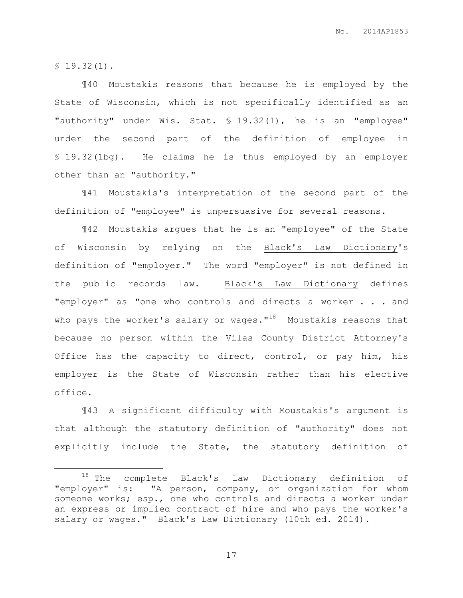$$19.32(1).$ 

 $\overline{a}$ 

¶40 Moustakis reasons that because he is employed by the State of Wisconsin, which is not specifically identified as an "authority" under Wis. Stat. § 19.32(1), he is an "employee" under the second part of the definition of employee in § 19.32(1bg). He claims he is thus employed by an employer other than an "authority."

¶41 Moustakis's interpretation of the second part of the definition of "employee" is unpersuasive for several reasons.

¶42 Moustakis argues that he is an "employee" of the State of Wisconsin by relying on the Black's Law Dictionary's definition of "employer." The word "employer" is not defined in the public records law. Black's Law Dictionary defines "employer" as "one who controls and directs a worker . . . and who pays the worker's salary or wages. $1^{18}$  Moustakis reasons that because no person within the Vilas County District Attorney's Office has the capacity to direct, control, or pay him, his employer is the State of Wisconsin rather than his elective office.

¶43 A significant difficulty with Moustakis's argument is that although the statutory definition of "authority" does not explicitly include the State, the statutory definition of

<sup>&</sup>lt;sup>18</sup> The complete Black's Law Dictionary definition of "employer" is: "A person, company, or organization for whom someone works; esp., one who controls and directs a worker under an express or implied contract of hire and who pays the worker's salary or wages." Black's Law Dictionary (10th ed. 2014).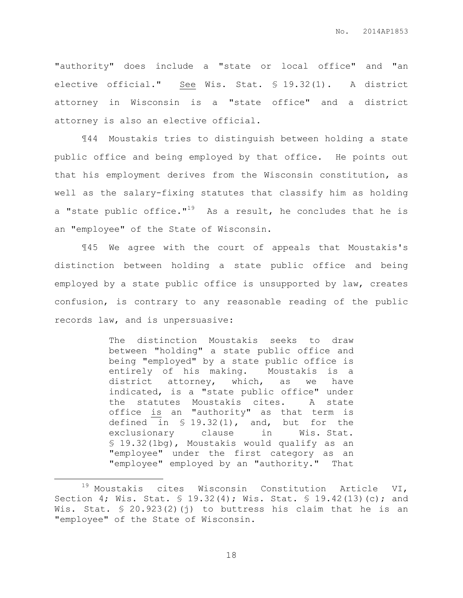"authority" does include a "state or local office" and "an elective official." See Wis. Stat. § 19.32(1). A district attorney in Wisconsin is a "state office" and a district attorney is also an elective official.

¶44 Moustakis tries to distinguish between holding a state public office and being employed by that office. He points out that his employment derives from the Wisconsin constitution, as well as the salary-fixing statutes that classify him as holding a "state public office." $19$  As a result, he concludes that he is an "employee" of the State of Wisconsin.

¶45 We agree with the court of appeals that Moustakis's distinction between holding a state public office and being employed by a state public office is unsupported by law, creates confusion, is contrary to any reasonable reading of the public records law, and is unpersuasive:

> The distinction Moustakis seeks to draw between "holding" a state public office and being "employed" by a state public office is entirely of his making. Moustakis is a district attorney, which, as we have indicated, is a "state public office" under the statutes Moustakis cites. A state office is an "authority" as that term is defined in  $\frac{1}{2}$  19.32(1), and, but for the exclusionary clause in Wis. Stat. § 19.32(1bg), Moustakis would qualify as an "employee" under the first category as an "employee" employed by an "authority." That

 $\overline{a}$ 

<sup>&</sup>lt;sup>19</sup> Moustakis cites Wisconsin Constitution Article VI, Section 4; Wis. Stat. § 19.32(4); Wis. Stat. § 19.42(13)(c); and Wis. Stat.  $\frac{1}{2}$  20.923(2)(j) to buttress his claim that he is an "employee" of the State of Wisconsin.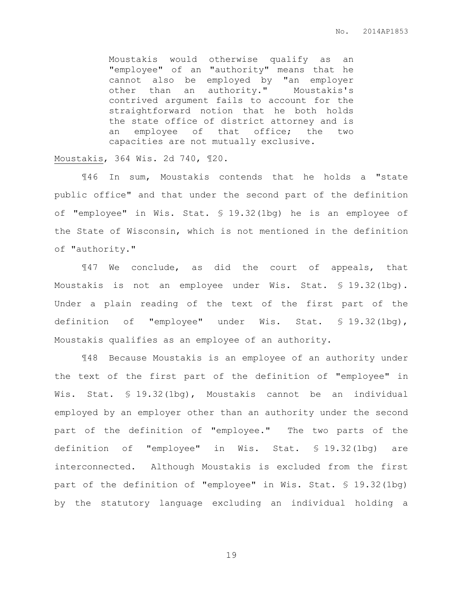Moustakis would otherwise qualify as an "employee" of an "authority" means that he cannot also be employed by "an employer other than an authority." Moustakis's contrived argument fails to account for the straightforward notion that he both holds the state office of district attorney and is an employee of that office; the two capacities are not mutually exclusive.

Moustakis, 364 Wis. 2d 740, ¶20.

¶46 In sum, Moustakis contends that he holds a "state public office" and that under the second part of the definition of "employee" in Wis. Stat. § 19.32(1bg) he is an employee of the State of Wisconsin, which is not mentioned in the definition of "authority."

¶47 We conclude, as did the court of appeals, that Moustakis is not an employee under Wis. Stat. § 19.32(1bg). Under a plain reading of the text of the first part of the definition of "employee" under Wis. Stat. § 19.32(1bg), Moustakis qualifies as an employee of an authority.

¶48 Because Moustakis is an employee of an authority under the text of the first part of the definition of "employee" in Wis. Stat. § 19.32(1bg), Moustakis cannot be an individual employed by an employer other than an authority under the second part of the definition of "employee." The two parts of the definition of "employee" in Wis. Stat. § 19.32(1bg) are interconnected. Although Moustakis is excluded from the first part of the definition of "employee" in Wis. Stat. § 19.32(1bg) by the statutory language excluding an individual holding a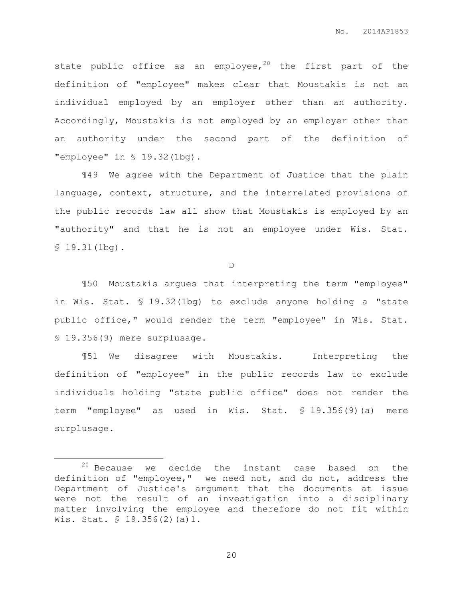state public office as an employee,<sup>20</sup> the first part of the definition of "employee" makes clear that Moustakis is not an individual employed by an employer other than an authority. Accordingly, Moustakis is not employed by an employer other than an authority under the second part of the definition of "employee" in § 19.32(1bg).

¶49 We agree with the Department of Justice that the plain language, context, structure, and the interrelated provisions of the public records law all show that Moustakis is employed by an "authority" and that he is not an employee under Wis. Stat.  $$19.31(lbg)$ .

D

¶50 Moustakis argues that interpreting the term "employee" in Wis. Stat. § 19.32(1bg) to exclude anyone holding a "state public office," would render the term "employee" in Wis. Stat. § 19.356(9) mere surplusage.

¶51 We disagree with Moustakis. Interpreting the definition of "employee" in the public records law to exclude individuals holding "state public office" does not render the term "employee" as used in Wis. Stat. § 19.356(9)(a) mere surplusage.

 $\overline{a}$ 

 $20$  Because we decide the instant case based on the definition of "employee," we need not, and do not, address the Department of Justice's argument that the documents at issue were not the result of an investigation into a disciplinary matter involving the employee and therefore do not fit within Wis. Stat. § 19.356(2)(a)1.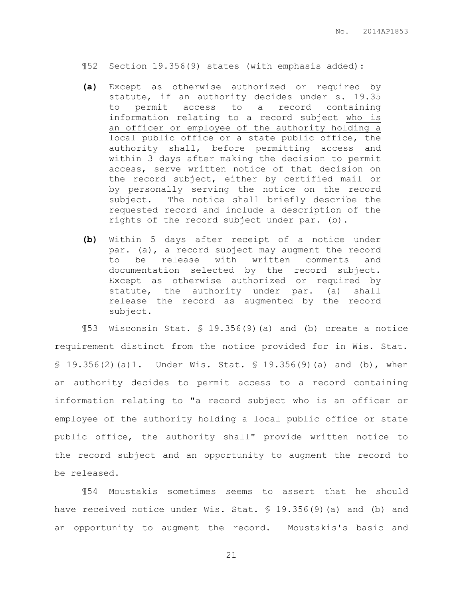- ¶52 Section 19.356(9) states (with emphasis added):
- **(a)** Except as otherwise authorized or required by statute, if an authority decides under s. 19.35 to permit access to a record containing information relating to a record subject who is an officer or employee of the authority holding a local public office or a state public office, the authority shall, before permitting access and within 3 days after making the decision to permit access, serve written notice of that decision on the record subject, either by certified mail or by personally serving the notice on the record subject. The notice shall briefly describe the requested record and include a description of the rights of the record subject under par. (b).
- **(b)** Within 5 days after receipt of a notice under par. (a), a record subject may augment the record to be release with written comments and documentation selected by the record subject. Except as otherwise authorized or required by statute, the authority under par. (a) shall release the record as augmented by the record subject.

¶53 Wisconsin Stat. § 19.356(9)(a) and (b) create a notice requirement distinct from the notice provided for in Wis. Stat.  $$ 19.356(2) (a)1.$  Under Wis. Stat.  $$ 19.356(9) (a)$  and (b), when an authority decides to permit access to a record containing information relating to "a record subject who is an officer or employee of the authority holding a local public office or state public office, the authority shall" provide written notice to the record subject and an opportunity to augment the record to be released.

¶54 Moustakis sometimes seems to assert that he should have received notice under Wis. Stat. § 19.356(9)(a) and (b) and an opportunity to augment the record. Moustakis's basic and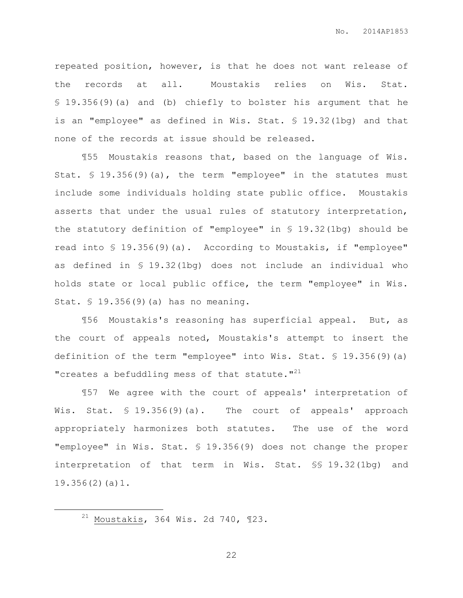repeated position, however, is that he does not want release of the records at all. Moustakis relies on Wis. Stat. § 19.356(9)(a) and (b) chiefly to bolster his argument that he is an "employee" as defined in Wis. Stat. § 19.32(1bg) and that none of the records at issue should be released.

¶55 Moustakis reasons that, based on the language of Wis. Stat. § 19.356(9)(a), the term "employee" in the statutes must include some individuals holding state public office. Moustakis asserts that under the usual rules of statutory interpretation, the statutory definition of "employee" in § 19.32(1bg) should be read into § 19.356(9)(a). According to Moustakis, if "employee" as defined in § 19.32(1bg) does not include an individual who holds state or local public office, the term "employee" in Wis. Stat. § 19.356(9)(a) has no meaning.

¶56 Moustakis's reasoning has superficial appeal. But, as the court of appeals noted, Moustakis's attempt to insert the definition of the term "employee" into Wis. Stat. § 19.356(9)(a) "creates a befuddling mess of that statute." $^{21}$ 

¶57 We agree with the court of appeals' interpretation of Wis. Stat. § 19.356(9)(a). The court of appeals' approach appropriately harmonizes both statutes. The use of the word "employee" in Wis. Stat. § 19.356(9) does not change the proper interpretation of that term in Wis. Stat. §§ 19.32(1bg) and 19.356(2)(a)1.

 $\overline{a}$ 

<sup>21</sup> Moustakis, 364 Wis. 2d 740, ¶23.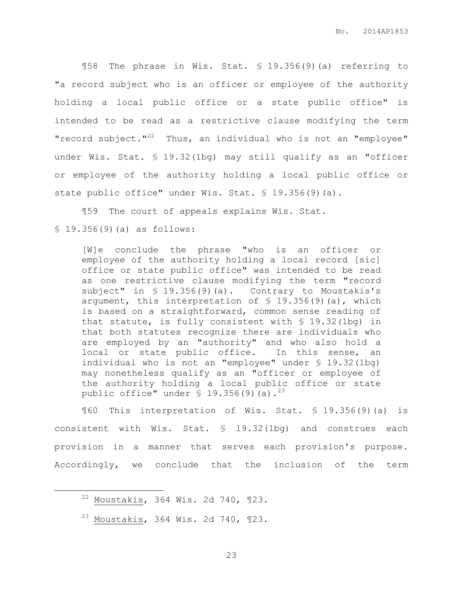¶58 The phrase in Wis. Stat. § 19.356(9)(a) referring to "a record subject who is an officer or employee of the authority holding a local public office or a state public office" is intended to be read as a restrictive clause modifying the term "record subject."<sup>22</sup> Thus, an individual who is not an "employee" under Wis. Stat. § 19.32(1bg) may still qualify as an "officer or employee of the authority holding a local public office or state public office" under Wis. Stat. § 19.356(9)(a).

¶59 The court of appeals explains Wis. Stat.

# § 19.356(9)(a) as follows:

[W]e conclude the phrase "who is an officer or employee of the authority holding a local record [sic] office or state public office" was intended to be read as one restrictive clause modifying the term "record subject" in § 19.356(9)(a). Contrary to Moustakis's argument, this interpretation of  $\S$  19.356(9)(a), which is based on a straightforward, common sense reading of that statute, is fully consistent with § 19.32(1bg) in that both statutes recognize there are individuals who are employed by an "authority" and who also hold a local or state public office. In this sense, an individual who is not an "employee" under § 19.32(1bg) may nonetheless qualify as an "officer or employee of the authority holding a local public office or state public office" under  $$ 19.356(9) (a).$ <sup>23</sup>

¶60 This interpretation of Wis. Stat. § 19.356(9)(a) is consistent with Wis. Stat. § 19.32(1bg) and construes each provision in a manner that serves each provision's purpose. Accordingly, we conclude that the inclusion of the term

 $22$  Moustakis, 364 Wis. 2d 740, 123.

 $\overline{a}$ 

<sup>23</sup> Moustakis, 364 Wis. 2d 740, ¶23.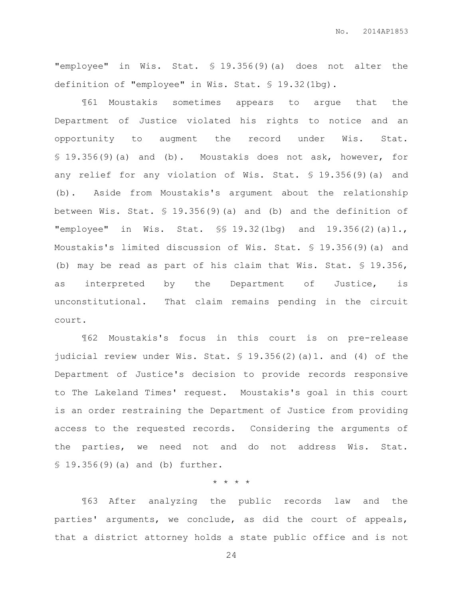"employee" in Wis. Stat. § 19.356(9)(a) does not alter the definition of "employee" in Wis. Stat. § 19.32(1bg).

¶61 Moustakis sometimes appears to argue that the Department of Justice violated his rights to notice and an opportunity to augment the record under Wis. Stat. § 19.356(9)(a) and (b). Moustakis does not ask, however, for any relief for any violation of Wis. Stat. § 19.356(9)(a) and (b). Aside from Moustakis's argument about the relationship between Wis. Stat. § 19.356(9)(a) and (b) and the definition of "employee" in Wis. Stat.  $\S$ \$ 19.32(1bq) and 19.356(2)(a)1., Moustakis's limited discussion of Wis. Stat. § 19.356(9)(a) and (b) may be read as part of his claim that Wis. Stat. § 19.356, as interpreted by the Department of Justice, is unconstitutional. That claim remains pending in the circuit court.

¶62 Moustakis's focus in this court is on pre-release judicial review under Wis. Stat. § 19.356(2)(a)1. and (4) of the Department of Justice's decision to provide records responsive to The Lakeland Times' request. Moustakis's goal in this court is an order restraining the Department of Justice from providing access to the requested records. Considering the arguments of the parties, we need not and do not address Wis. Stat. § 19.356(9)(a) and (b) further.

\* \* \* \*

¶63 After analyzing the public records law and the parties' arguments, we conclude, as did the court of appeals, that a district attorney holds a state public office and is not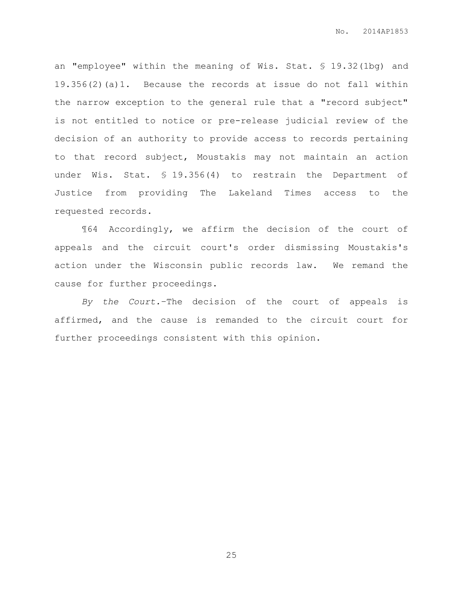an "employee" within the meaning of Wis. Stat. § 19.32(1bg) and 19.356(2)(a)1. Because the records at issue do not fall within the narrow exception to the general rule that a "record subject" is not entitled to notice or pre-release judicial review of the decision of an authority to provide access to records pertaining to that record subject, Moustakis may not maintain an action under Wis. Stat. § 19.356(4) to restrain the Department of Justice from providing The Lakeland Times access to the requested records.

¶64 Accordingly, we affirm the decision of the court of appeals and the circuit court's order dismissing Moustakis's action under the Wisconsin public records law. We remand the cause for further proceedings.

*By the Court.*–The decision of the court of appeals is affirmed, and the cause is remanded to the circuit court for further proceedings consistent with this opinion.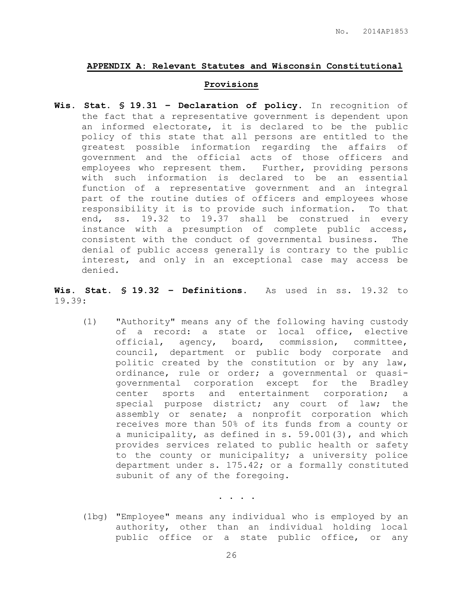# **APPENDIX A: Relevant Statutes and Wisconsin Constitutional**

#### **Provisions**

**Wis. Stat. § 19.31 – Declaration of policy**. In recognition of the fact that a representative government is dependent upon an informed electorate, it is declared to be the public policy of this state that all persons are entitled to the greatest possible information regarding the affairs of government and the official acts of those officers and employees who represent them. Further, providing persons with such information is declared to be an essential function of a representative government and an integral part of the routine duties of officers and employees whose responsibility it is to provide such information. To that end, ss. 19.32 to 19.37 shall be construed in every instance with a presumption of complete public access, consistent with the conduct of governmental business. The denial of public access generally is contrary to the public interest, and only in an exceptional case may access be denied.

**Wis. Stat. § 19.32 – Definitions.** As used in ss. 19.32 to 19.39:

(1) "Authority" means any of the following having custody of a record: a state or local office, elective official, agency, board, commission, committee, council, department or public body corporate and politic created by the constitution or by any law, ordinance, rule or order; a governmental or quasigovernmental corporation except for the Bradley center sports and entertainment corporation; a special purpose district; any court of law; the assembly or senate; a nonprofit corporation which receives more than 50% of its funds from a county or a municipality, as defined in s. 59.001(3), and which provides services related to public health or safety to the county or municipality; a university police department under s. 175.42; or a formally constituted subunit of any of the foregoing.

(1bg) "Employee" means any individual who is employed by an authority, other than an individual holding local public office or a state public office, or any

. . . .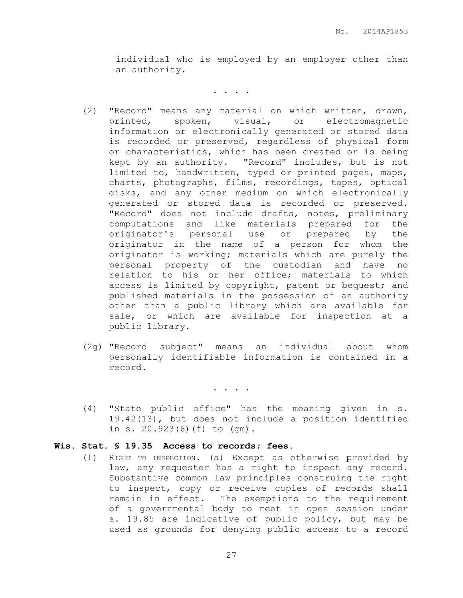individual who is employed by an employer other than an authority.

. . . .

- (2) "Record" means any material on which written, drawn, printed, spoken, visual, or electromagnetic information or electronically generated or stored data is recorded or preserved, regardless of physical form or characteristics, which has been created or is being kept by an authority. "Record" includes, but is not limited to, handwritten, typed or printed pages, maps, charts, photographs, films, recordings, tapes, optical disks, and any other medium on which electronically generated or stored data is recorded or preserved. "Record" does not include drafts, notes, preliminary computations and like materials prepared for the originator's personal use or prepared by the originator in the name of a person for whom the originator is working; materials which are purely the personal property of the custodian and have no relation to his or her office; materials to which access is limited by copyright, patent or bequest; and published materials in the possession of an authority other than a public library which are available for sale, or which are available for inspection at a public library.
- (2g) "Record subject" means an individual about whom personally identifiable information is contained in a record.

. . . .

(4) "State public office" has the meaning given in s. 19.42(13), but does not include a position identified in s. 20.923(6)(f) to (gm).

#### **Wis. Stat. § 19.35 Access to records; fees.**

(1) RIGHT TO INSPECTION. (a) Except as otherwise provided by law, any requester has a right to inspect any record. Substantive common law principles construing the right to inspect, copy or receive copies of records shall remain in effect. The exemptions to the requirement of a governmental body to meet in open session under s. 19.85 are indicative of public policy, but may be used as grounds for denying public access to a record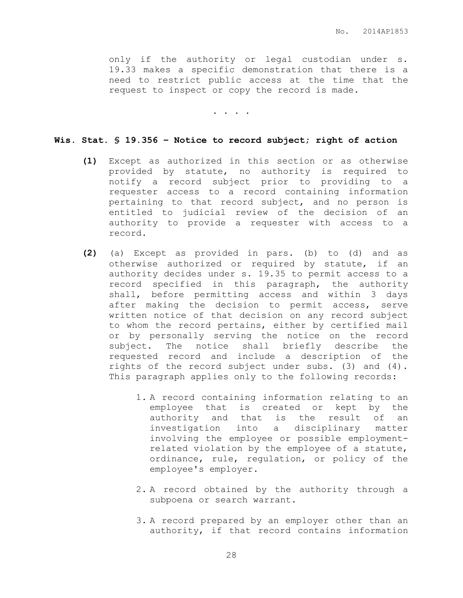only if the authority or legal custodian under s. 19.33 makes a specific demonstration that there is a need to restrict public access at the time that the request to inspect or copy the record is made.

. . . .

#### **Wis. Stat. § 19.356 – Notice to record subject; right of action**

- **(1)** Except as authorized in this section or as otherwise provided by statute, no authority is required to notify a record subject prior to providing to a requester access to a record containing information pertaining to that record subject, and no person is entitled to judicial review of the decision of an authority to provide a requester with access to a record.
- **(2)** (a) Except as provided in pars. (b) to (d) and as otherwise authorized or required by statute, if an authority decides under s. 19.35 to permit access to a record specified in this paragraph, the authority shall, before permitting access and within 3 days after making the decision to permit access, serve written notice of that decision on any record subject to whom the record pertains, either by certified mail or by personally serving the notice on the record subject. The notice shall briefly describe the requested record and include a description of the rights of the record subject under subs. (3) and (4). This paragraph applies only to the following records:
	- 1. A record containing information relating to an employee that is created or kept by the authority and that is the result of an investigation into a disciplinary matter involving the employee or possible employmentrelated violation by the employee of a statute, ordinance, rule, regulation, or policy of the employee's employer.
	- 2. A record obtained by the authority through a subpoena or search warrant.
	- 3. A record prepared by an employer other than an authority, if that record contains information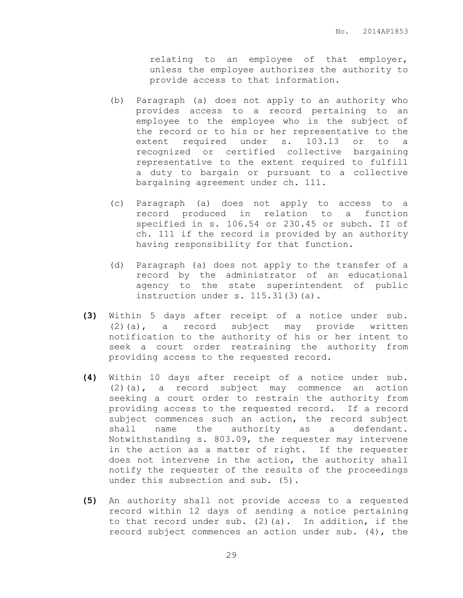relating to an employee of that employer, unless the employee authorizes the authority to provide access to that information.

- (b) Paragraph (a) does not apply to an authority who provides access to a record pertaining to an employee to the employee who is the subject of the record or to his or her representative to the extent required under s. 103.13 or to a recognized or certified collective bargaining representative to the extent required to fulfill a duty to bargain or pursuant to a collective bargaining agreement under ch. 111.
- (c) Paragraph (a) does not apply to access to a record produced in relation to a function specified in s. 106.54 or 230.45 or subch. II of ch. 111 if the record is provided by an authority having responsibility for that function.
- (d) Paragraph (a) does not apply to the transfer of a record by the administrator of an educational agency to the state superintendent of public instruction under s. 115.31(3)(a).
- **(3)** Within 5 days after receipt of a notice under sub. (2)(a), a record subject may provide written notification to the authority of his or her intent to seek a court order restraining the authority from providing access to the requested record.
- **(4)** Within 10 days after receipt of a notice under sub. (2)(a), a record subject may commence an action seeking a court order to restrain the authority from providing access to the requested record. If a record subject commences such an action, the record subject shall name the authority as a defendant. Notwithstanding s. 803.09, the requester may intervene in the action as a matter of right. If the requester does not intervene in the action, the authority shall notify the requester of the results of the proceedings under this subsection and sub. (5).
- **(5)** An authority shall not provide access to a requested record within 12 days of sending a notice pertaining to that record under sub. (2)(a). In addition, if the record subject commences an action under sub. (4), the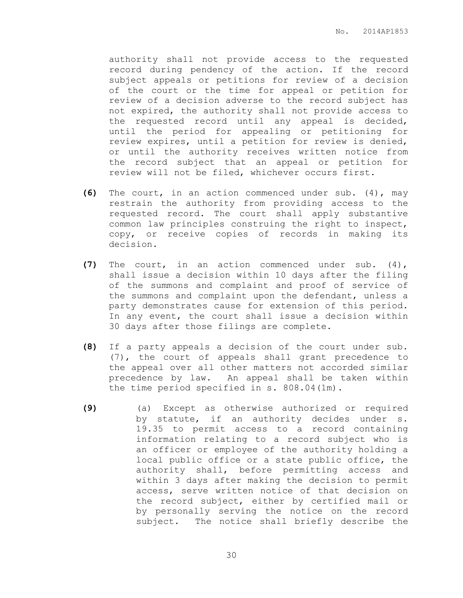authority shall not provide access to the requested record during pendency of the action. If the record subject appeals or petitions for review of a decision of the court or the time for appeal or petition for review of a decision adverse to the record subject has not expired, the authority shall not provide access to the requested record until any appeal is decided, until the period for appealing or petitioning for review expires, until a petition for review is denied, or until the authority receives written notice from the record subject that an appeal or petition for review will not be filed, whichever occurs first.

- **(6)** The court, in an action commenced under sub. (4), may restrain the authority from providing access to the requested record. The court shall apply substantive common law principles construing the right to inspect, copy, or receive copies of records in making its decision.
- **(7)** The court, in an action commenced under sub. (4), shall issue a decision within 10 days after the filing of the summons and complaint and proof of service of the summons and complaint upon the defendant, unless a party demonstrates cause for extension of this period. In any event, the court shall issue a decision within 30 days after those filings are complete.
- **(8)** If a party appeals a decision of the court under sub. (7), the court of appeals shall grant precedence to the appeal over all other matters not accorded similar precedence by law. An appeal shall be taken within the time period specified in s. 808.04(1m).
- **(9)** (a) Except as otherwise authorized or required by statute, if an authority decides under s. 19.35 to permit access to a record containing information relating to a record subject who is an officer or employee of the authority holding a local public office or a state public office, the authority shall, before permitting access and within 3 days after making the decision to permit access, serve written notice of that decision on the record subject, either by certified mail or by personally serving the notice on the record subject. The notice shall briefly describe the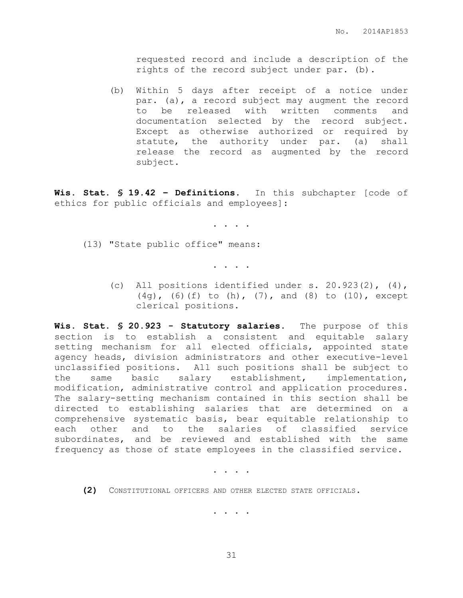requested record and include a description of the rights of the record subject under par. (b).

(b) Within 5 days after receipt of a notice under par. (a), a record subject may augment the record to be released with written comments and documentation selected by the record subject. Except as otherwise authorized or required by statute, the authority under par. (a) shall release the record as augmented by the record subject.

**Wis. Stat. § 19.42 – Definitions.** In this subchapter [code of ethics for public officials and employees]:

. . . .

(13) "State public office" means:

. . . .

(c) All positions identified under s.  $20.923(2)$ ,  $(4)$ , (4g), (6)(f) to (h), (7), and (8) to (10), except clerical positions.

**Wis. Stat. § 20.923 - Statutory salaries**. The purpose of this section is to establish a consistent and equitable salary setting mechanism for all elected officials, appointed state agency heads, division administrators and other executive-level unclassified positions. All such positions shall be subject to the same basic salary establishment, implementation, modification, administrative control and application procedures. The salary-setting mechanism contained in this section shall be directed to establishing salaries that are determined on a comprehensive systematic basis, bear equitable relationship to each other and to the salaries of classified service subordinates, and be reviewed and established with the same frequency as those of state employees in the classified service.

. . . .

**(2)** CONSTITUTIONAL OFFICERS AND OTHER ELECTED STATE OFFICIALS.

. . . .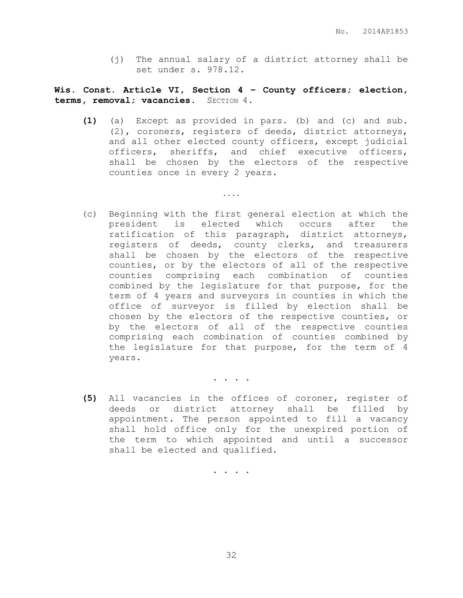(j) The annual salary of a district attorney shall be set under s. 978.12.

**Wis. Const. Article VI, Section 4 – County officers; election, terms, removal; vacancies**. SECTION 4.

. . . .

- **(1)** (a) Except as provided in pars. (b) and (c) and sub. (2), coroners, registers of deeds, district attorneys, and all other elected county officers, except judicial officers, sheriffs, and chief executive officers, shall be chosen by the electors of the respective counties once in every 2 years.
- (c) Beginning with the first general election at which the president is elected which occurs after the ratification of this paragraph, district attorneys, registers of deeds, county clerks, and treasurers shall be chosen by the electors of the respective counties, or by the electors of all of the respective counties comprising each combination of counties combined by the legislature for that purpose, for the term of 4 years and surveyors in counties in which the office of surveyor is filled by election shall be chosen by the electors of the respective counties, or by the electors of all of the respective counties comprising each combination of counties combined by the legislature for that purpose, for the term of 4 years.

. . . .

**(5)** All vacancies in the offices of coroner, register of deeds or district attorney shall be filled by appointment. The person appointed to fill a vacancy shall hold office only for the unexpired portion of the term to which appointed and until a successor shall be elected and qualified.

. . . .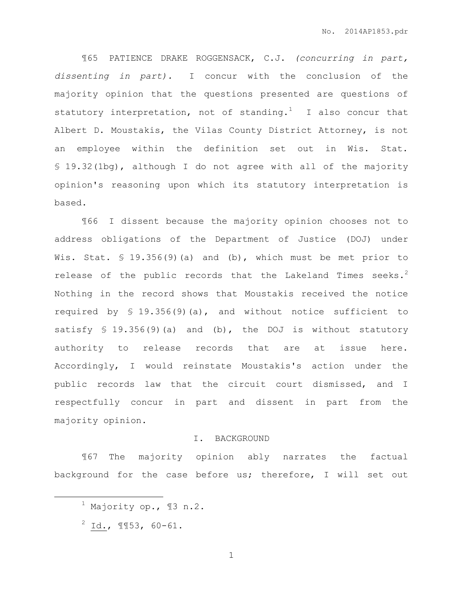¶65 PATIENCE DRAKE ROGGENSACK, C.J. *(concurring in part, dissenting in part).* I concur with the conclusion of the majority opinion that the questions presented are questions of statutory interpretation, not of standing.<sup>1</sup> I also concur that Albert D. Moustakis, the Vilas County District Attorney, is not an employee within the definition set out in Wis. Stat. § 19.32(1bg), although I do not agree with all of the majority opinion's reasoning upon which its statutory interpretation is based.

¶66 I dissent because the majority opinion chooses not to address obligations of the Department of Justice (DOJ) under Wis. Stat. § 19.356(9)(a) and (b), which must be met prior to release of the public records that the Lakeland Times seeks.<sup>2</sup> Nothing in the record shows that Moustakis received the notice required by § 19.356(9)(a), and without notice sufficient to satisfy § 19.356(9)(a) and (b), the DOJ is without statutory authority to release records that are at issue here. Accordingly, I would reinstate Moustakis's action under the public records law that the circuit court dismissed, and I respectfully concur in part and dissent in part from the majority opinion.

# I. BACKGROUND

¶67 The majority opinion ably narrates the factual background for the case before us; therefore, I will set out

 $\overline{a}$ 

 $1$  Majority op.,  $\mathbb{I}3$  n.2.

 $2$  Id.,  $\P$ 153, 60-61.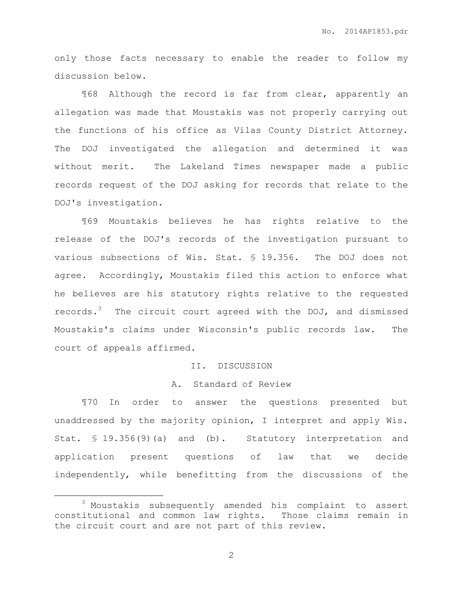only those facts necessary to enable the reader to follow my discussion below.

¶68 Although the record is far from clear, apparently an allegation was made that Moustakis was not properly carrying out the functions of his office as Vilas County District Attorney. The DOJ investigated the allegation and determined it was without merit. The Lakeland Times newspaper made a public records request of the DOJ asking for records that relate to the DOJ's investigation.

¶69 Moustakis believes he has rights relative to the release of the DOJ's records of the investigation pursuant to various subsections of Wis. Stat. § 19.356. The DOJ does not agree. Accordingly, Moustakis filed this action to enforce what he believes are his statutory rights relative to the requested records. $3$  The circuit court agreed with the DOJ, and dismissed Moustakis's claims under Wisconsin's public records law. The court of appeals affirmed.

### II. DISCUSSION

# A. Standard of Review

¶70 In order to answer the questions presented but unaddressed by the majority opinion, I interpret and apply Wis. Stat. § 19.356(9)(a) and (b). Statutory interpretation and application present questions of law that we decide independently, while benefitting from the discussions of the

 $\overline{a}$ 

<sup>3</sup> Moustakis subsequently amended his complaint to assert constitutional and common law rights. Those claims remain in the circuit court and are not part of this review.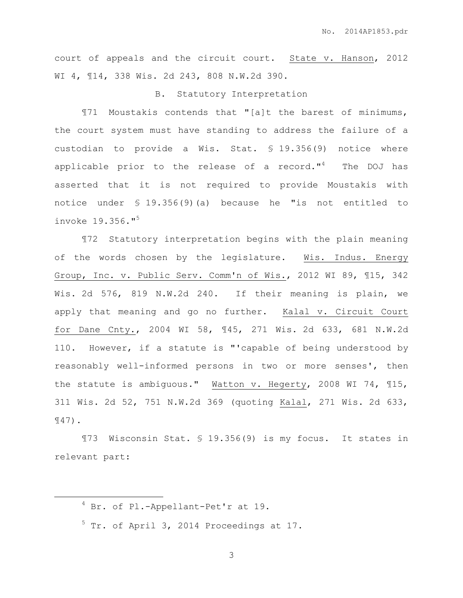court of appeals and the circuit court. State v. Hanson, 2012 WI 4, ¶14, 338 Wis. 2d 243, 808 N.W.2d 390.

## B. Statutory Interpretation

¶71 Moustakis contends that "[a]t the barest of minimums, the court system must have standing to address the failure of a custodian to provide a Wis. Stat. § 19.356(9) notice where applicable prior to the release of a record."<sup>4</sup> The DOJ has asserted that it is not required to provide Moustakis with notice under § 19.356(9)(a) because he "is not entitled to invoke 19.356."<sup>5</sup>

¶72 Statutory interpretation begins with the plain meaning of the words chosen by the legislature. Wis. Indus. Energy Group, Inc. v. Public Serv. Comm'n of Wis., 2012 WI 89, ¶15, 342 Wis. 2d 576, 819 N.W.2d 240. If their meaning is plain, we apply that meaning and go no further. Kalal v. Circuit Court for Dane Cnty., 2004 WI 58, ¶45, 271 Wis. 2d 633, 681 N.W.2d 110. However, if a statute is "'capable of being understood by reasonably well-informed persons in two or more senses', then the statute is ambiguous." Watton v. Hegerty, 2008 WI 74, ¶15, 311 Wis. 2d 52, 751 N.W.2d 369 (quoting Kalal, 271 Wis. 2d 633, ¶47).

¶73 Wisconsin Stat. § 19.356(9) is my focus. It states in relevant part:

 $\overline{a}$ 

<sup>4</sup> Br. of Pl.-Appellant-Pet'r at 19.

 $5$  Tr. of April 3, 2014 Proceedings at 17.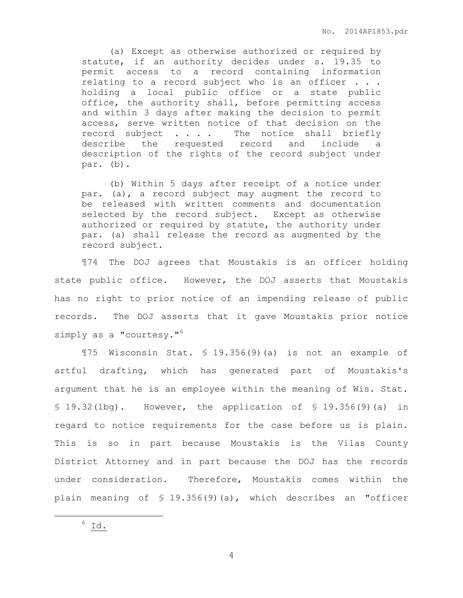(a) Except as otherwise authorized or required by statute, if an authority decides under s. 19.35 to permit access to a record containing information relating to a record subject who is an officer . . . holding a local public office or a state public office, the authority shall, before permitting access and within 3 days after making the decision to permit access, serve written notice of that decision on the record subject . . . . The notice shall briefly describe the requested record and include a description of the rights of the record subject under par. (b).

(b) Within 5 days after receipt of a notice under par. (a), a record subject may augment the record to be released with written comments and documentation selected by the record subject. Except as otherwise authorized or required by statute, the authority under par. (a) shall release the record as augmented by the record subject.

¶74 The DOJ agrees that Moustakis is an officer holding state public office. However, the DOJ asserts that Moustakis has no right to prior notice of an impending release of public records. The DOJ asserts that it gave Moustakis prior notice simply as a "courtesy."<sup>6</sup>

¶75 Wisconsin Stat. § 19.356(9)(a) is not an example of artful drafting, which has generated part of Moustakis's argument that he is an employee within the meaning of Wis. Stat. § 19.32(1bg). However, the application of § 19.356(9)(a) in regard to notice requirements for the case before us is plain. This is so in part because Moustakis is the Vilas County District Attorney and in part because the DOJ has the records under consideration. Therefore, Moustakis comes within the plain meaning of § 19.356(9)(a), which describes an "officer

 $\overline{a}$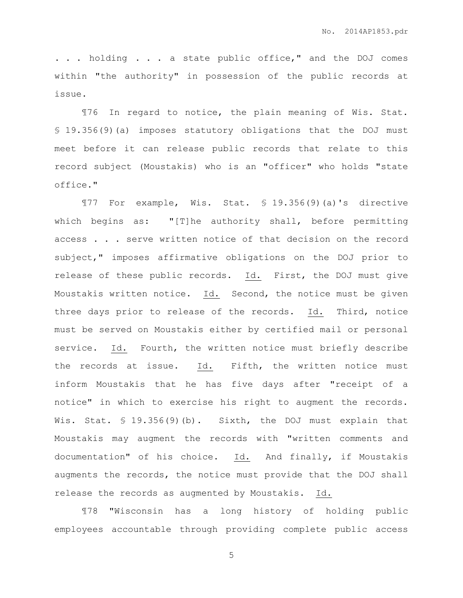. . . holding . . . a state public office," and the DOJ comes within "the authority" in possession of the public records at issue.

¶76 In regard to notice, the plain meaning of Wis. Stat. § 19.356(9)(a) imposes statutory obligations that the DOJ must meet before it can release public records that relate to this record subject (Moustakis) who is an "officer" who holds "state office."

¶77 For example, Wis. Stat. § 19.356(9)(a)'s directive which begins as: "[T]he authority shall, before permitting access . . . serve written notice of that decision on the record subject," imposes affirmative obligations on the DOJ prior to release of these public records. Id. First, the DOJ must give Moustakis written notice. Id. Second, the notice must be given three days prior to release of the records. Id. Third, notice must be served on Moustakis either by certified mail or personal service. Id. Fourth, the written notice must briefly describe the records at issue. Id. Fifth, the written notice must inform Moustakis that he has five days after "receipt of a notice" in which to exercise his right to augment the records. Wis. Stat. § 19.356(9)(b). Sixth, the DOJ must explain that Moustakis may augment the records with "written comments and documentation" of his choice. Id. And finally, if Moustakis augments the records, the notice must provide that the DOJ shall release the records as augmented by Moustakis. Id.

¶78 "Wisconsin has a long history of holding public employees accountable through providing complete public access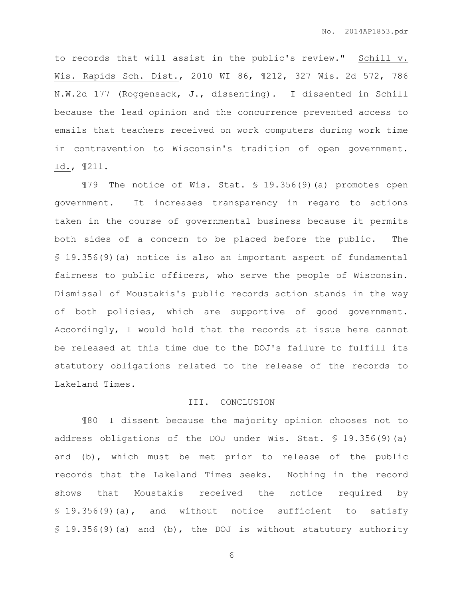to records that will assist in the public's review." Schill v. Wis. Rapids Sch. Dist., 2010 WI 86, ¶212, 327 Wis. 2d 572, 786 N.W.2d 177 (Roggensack, J., dissenting). I dissented in Schill because the lead opinion and the concurrence prevented access to emails that teachers received on work computers during work time in contravention to Wisconsin's tradition of open government. Id., ¶211.

¶79 The notice of Wis. Stat. § 19.356(9)(a) promotes open government. It increases transparency in regard to actions taken in the course of governmental business because it permits both sides of a concern to be placed before the public. The § 19.356(9)(a) notice is also an important aspect of fundamental fairness to public officers, who serve the people of Wisconsin. Dismissal of Moustakis's public records action stands in the way of both policies, which are supportive of good government. Accordingly, I would hold that the records at issue here cannot be released at this time due to the DOJ's failure to fulfill its statutory obligations related to the release of the records to Lakeland Times.

#### III. CONCLUSION

¶80 I dissent because the majority opinion chooses not to address obligations of the DOJ under Wis. Stat. § 19.356(9)(a) and (b), which must be met prior to release of the public records that the Lakeland Times seeks. Nothing in the record shows that Moustakis received the notice required by § 19.356(9)(a), and without notice sufficient to satisfy § 19.356(9)(a) and (b), the DOJ is without statutory authority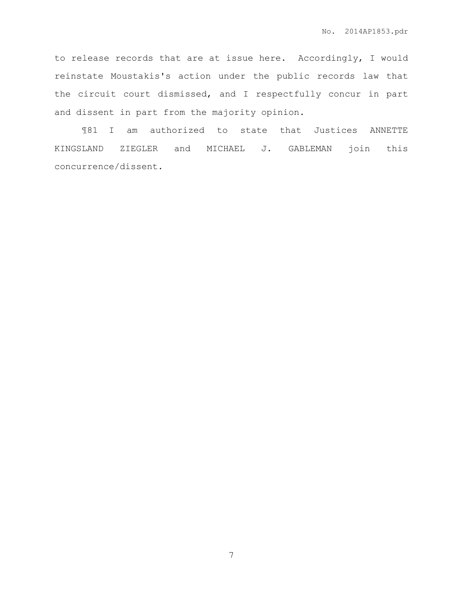to release records that are at issue here. Accordingly, I would reinstate Moustakis's action under the public records law that the circuit court dismissed, and I respectfully concur in part and dissent in part from the majority opinion.

¶81 I am authorized to state that Justices ANNETTE KINGSLAND ZIEGLER and MICHAEL J. GABLEMAN join this concurrence/dissent.